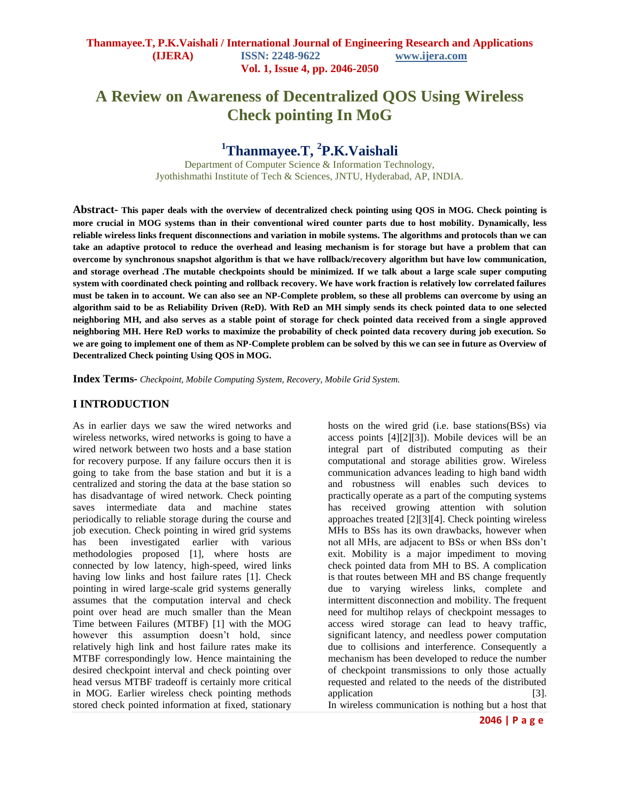# **A Review on Awareness of Decentralized QOS Using Wireless Check pointing In MoG**

# **<sup>1</sup>Thanmayee.T, <sup>2</sup> P.K.Vaishali**

Department of Computer Science & Information Technology, Jyothishmathi Institute of Tech & Sciences, JNTU, Hyderabad, AP, INDIA.

**Abstract- This paper deals with the overview of decentralized check pointing using QOS in MOG. Check pointing is more crucial in MOG systems than in their conventional wired counter parts due to host mobility. Dynamically, less reliable wireless links frequent disconnections and variation in mobile systems. The algorithms and protocols than we can take an adaptive protocol to reduce the overhead and leasing mechanism is for storage but have a problem that can overcome by synchronous snapshot algorithm is that we have rollback/recovery algorithm but have low communication, and storage overhead .The mutable checkpoints should be minimized. If we talk about a large scale super computing system with coordinated check pointing and rollback recovery. We have work fraction is relatively low correlated failures must be taken in to account. We can also see an NP-Complete problem, so these all problems can overcome by using an algorithm said to be as Reliability Driven (ReD). With ReD an MH simply sends its check pointed data to one selected neighboring MH, and also serves as a stable point of storage for check pointed data received from a single approved neighboring MH. Here ReD works to maximize the probability of check pointed data recovery during job execution. So we are going to implement one of them as NP-Complete problem can be solved by this we can see in future as Overview of Decentralized Check pointing Using QOS in MOG.**

**Index Terms-** *Checkpoint, Mobile Computing System, Recovery, Mobile Grid System.*

### **I INTRODUCTION**

As in earlier days we saw the wired networks and wireless networks, wired networks is going to have a wired network between two hosts and a base station for recovery purpose. If any failure occurs then it is going to take from the base station and but it is a centralized and storing the data at the base station so has disadvantage of wired network. Check pointing saves intermediate data and machine states periodically to reliable storage during the course and job execution. Check pointing in wired grid systems has been investigated earlier with various methodologies proposed [1], where hosts are connected by low latency, high-speed, wired links having low links and host failure rates [1]. Check pointing in wired large-scale grid systems generally assumes that the computation interval and check point over head are much smaller than the Mean Time between Failures (MTBF) [1] with the MOG however this assumption doesn't hold, since relatively high link and host failure rates make its MTBF correspondingly low. Hence maintaining the desired checkpoint interval and check pointing over head versus MTBF tradeoff is certainly more critical in MOG. Earlier wireless check pointing methods stored check pointed information at fixed, stationary

hosts on the wired grid (i.e. base stations(BSs) via access points [4][2][3]). Mobile devices will be an integral part of distributed computing as their computational and storage abilities grow. Wireless communication advances leading to high band width and robustness will enables such devices to practically operate as a part of the computing systems has received growing attention with solution approaches treated [2][3][4]. Check pointing wireless MHs to BSs has its own drawbacks, however when not all MHs, are adjacent to BSs or when BSs don't exit. Mobility is a major impediment to moving check pointed data from MH to BS. A complication is that routes between MH and BS change frequently due to varying wireless links, complete and intermittent disconnection and mobility. The frequent need for multihop relays of checkpoint messages to access wired storage can lead to heavy traffic, significant latency, and needless power computation due to collisions and interference. Consequently a mechanism has been developed to reduce the number of checkpoint transmissions to only those actually requested and related to the needs of the distributed application [3]. In wireless communication is nothing but a host that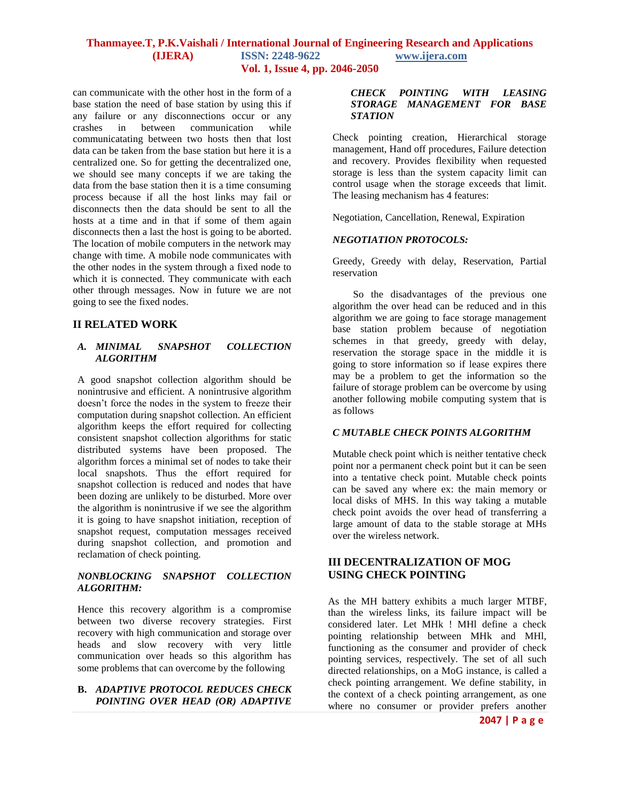can communicate with the other host in the form of a base station the need of base station by using this if any failure or any disconnections occur or any crashes in between communication while communicatating between two hosts then that lost data can be taken from the base station but here it is a centralized one. So for getting the decentralized one, we should see many concepts if we are taking the data from the base station then it is a time consuming process because if all the host links may fail or disconnects then the data should be sent to all the hosts at a time and in that if some of them again disconnects then a last the host is going to be aborted. The location of mobile computers in the network may change with time. A mobile node communicates with the other nodes in the system through a fixed node to which it is connected. They communicate with each other through messages. Now in future we are not going to see the fixed nodes.

## **II RELATED WORK**

#### *A. MINIMAL SNAPSHOT COLLECTION ALGORITHM*

A good snapshot collection algorithm should be nonintrusive and efficient. A nonintrusive algorithm doesn't force the nodes in the system to freeze their computation during snapshot collection. An efficient algorithm keeps the effort required for collecting consistent snapshot collection algorithms for static distributed systems have been proposed. The algorithm forces a minimal set of nodes to take their local snapshots. Thus the effort required for snapshot collection is reduced and nodes that have been dozing are unlikely to be disturbed. More over the algorithm is nonintrusive if we see the algorithm it is going to have snapshot initiation, reception of snapshot request, computation messages received during snapshot collection, and promotion and reclamation of check pointing.

### *NONBLOCKING SNAPSHOT COLLECTION ALGORITHM:*

Hence this recovery algorithm is a compromise between two diverse recovery strategies. First recovery with high communication and storage over heads and slow recovery with very little communication over heads so this algorithm has some problems that can overcome by the following

#### **B.** *ADAPTIVE PROTOCOL REDUCES CHECK POINTING OVER HEAD (OR) ADAPTIVE*

#### *CHECK POINTING WITH LEASING STORAGE MANAGEMENT FOR BASE STATION*

Check pointing creation, Hierarchical storage management, Hand off procedures, Failure detection and recovery. Provides flexibility when requested storage is less than the system capacity limit can control usage when the storage exceeds that limit. The leasing mechanism has 4 features:

Negotiation, Cancellation, Renewal, Expiration

## *NEGOTIATION PROTOCOLS:*

Greedy, Greedy with delay, Reservation, Partial reservation

 So the disadvantages of the previous one algorithm the over head can be reduced and in this algorithm we are going to face storage management base station problem because of negotiation schemes in that greedy, greedy with delay, reservation the storage space in the middle it is going to store information so if lease expires there may be a problem to get the information so the failure of storage problem can be overcome by using another following mobile computing system that is as follows

#### *C MUTABLE CHECK POINTS ALGORITHM*

Mutable check point which is neither tentative check point nor a permanent check point but it can be seen into a tentative check point. Mutable check points can be saved any where ex: the main memory or local disks of MHS. In this way taking a mutable check point avoids the over head of transferring a large amount of data to the stable storage at MHs over the wireless network.

# **III DECENTRALIZATION OF MOG USING CHECK POINTING**

As the MH battery exhibits a much larger MTBF, than the wireless links, its failure impact will be considered later. Let MHk ! MHl define a check pointing relationship between MHk and MHl, functioning as the consumer and provider of check pointing services, respectively. The set of all such directed relationships, on a MoG instance, is called a check pointing arrangement. We define stability, in the context of a check pointing arrangement, as one where no consumer or provider prefers another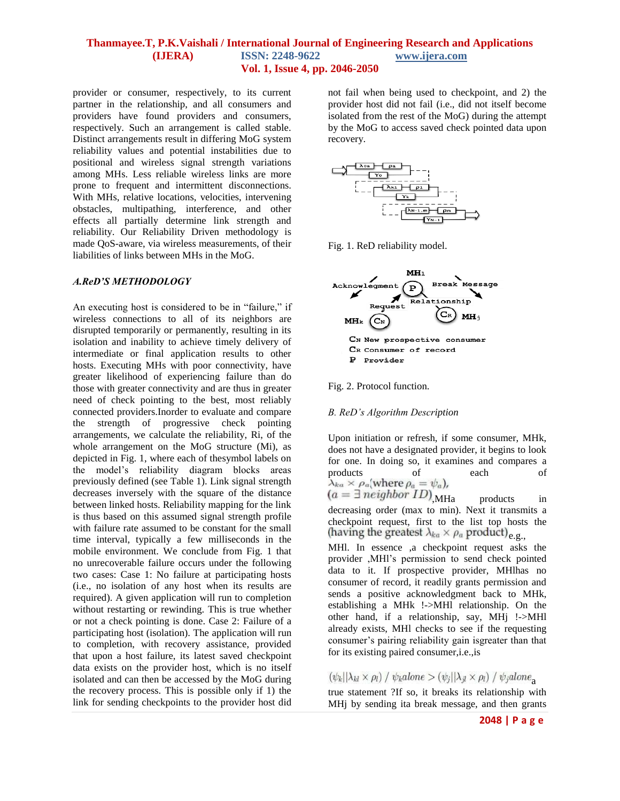provider or consumer, respectively, to its current partner in the relationship, and all consumers and providers have found providers and consumers, respectively. Such an arrangement is called stable. Distinct arrangements result in differing MoG system reliability values and potential instabilities due to positional and wireless signal strength variations among MHs. Less reliable wireless links are more prone to frequent and intermittent disconnections. With MHs, relative locations, velocities, intervening obstacles, multipathing, interference, and other effects all partially determine link strength and reliability. Our Reliability Driven methodology is made QoS-aware, via wireless measurements, of their liabilities of links between MHs in the MoG.

#### *A.ReD'S METHODOLOGY*

An executing host is considered to be in "failure," if wireless connections to all of its neighbors are disrupted temporarily or permanently, resulting in its isolation and inability to achieve timely delivery of intermediate or final application results to other hosts. Executing MHs with poor connectivity, have greater likelihood of experiencing failure than do those with greater connectivity and are thus in greater need of check pointing to the best, most reliably connected providers.Inorder to evaluate and compare the strength of progressive check pointing arrangements, we calculate the reliability, Ri, of the whole arrangement on the MoG structure (Mi), as depicted in Fig. 1, where each of thesymbol labels on the model's reliability diagram blocks areas previously defined (see Table 1). Link signal strength decreases inversely with the square of the distance between linked hosts. Reliability mapping for the link is thus based on this assumed signal strength profile with failure rate assumed to be constant for the small time interval, typically a few milliseconds in the mobile environment. We conclude from Fig. 1 that no unrecoverable failure occurs under the following two cases: Case 1: No failure at participating hosts (i.e., no isolation of any host when its results are required). A given application will run to completion without restarting or rewinding. This is true whether or not a check pointing is done. Case 2: Failure of a participating host (isolation). The application will run to completion, with recovery assistance, provided that upon a host failure, its latest saved checkpoint data exists on the provider host, which is no itself isolated and can then be accessed by the MoG during the recovery process. This is possible only if 1) the link for sending checkpoints to the provider host did

not fail when being used to checkpoint, and 2) the provider host did not fail (i.e., did not itself become isolated from the rest of the MoG) during the attempt by the MoG to access saved check pointed data upon recovery.



Fig. 1. ReD reliability model.



Fig. 2. Protocol function.

#### *B. ReD's Algorithm Description*

Upon initiation or refresh, if some consumer, MHk, does not have a designated provider, it begins to look for one. In doing so, it examines and compares a products of each of<br>  $\lambda_{ka} \times \rho_a$  (where  $\rho_a = \psi_a$ ),<br>  $(a = \exists \text{ neighbor } ID)$  MHa products in products in

decreasing order (max to min). Next it transmits a checkpoint request, first to the list top hosts the (having the greatest  $\lambda_{ka} \times \rho_a$  product)<sub>e.g.</sub>,

MHl. In essence ,a checkpoint request asks the provider ,MHl's permission to send check pointed data to it. If prospective provider, MHlhas no consumer of record, it readily grants permission and sends a positive acknowledgment back to MHk, establishing a MHk !->MHl relationship. On the other hand, if a relationship, say, MHj !->MHl already exists, MHl checks to see if the requesting consumer's pairing reliability gain isgreater than that for its existing paired consumer,i.e.,is

# $(\psi_k|\lambda_{kl}\times\rho_l) / \psi_k alone > (\psi_j|\lambda_{jl}\times\rho_l) / \psi_j alone_a$

true statement ?If so, it breaks its relationship with MHj by sending ita break message, and then grants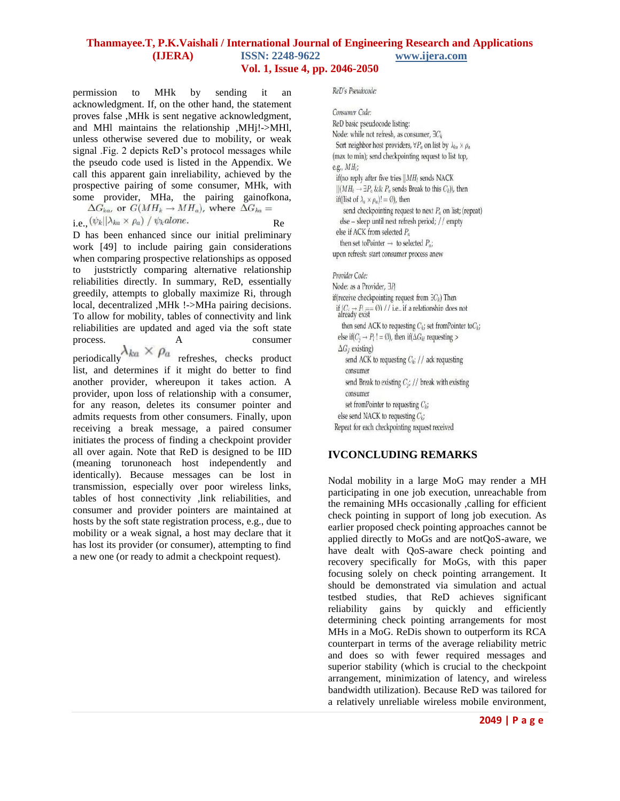permission to MHk by sending it an acknowledgment. If, on the other hand, the statement proves false ,MHk is sent negative acknowledgment, and MHl maintains the relationship ,MHj!->MHl, unless otherwise severed due to mobility, or weak signal .Fig. 2 depicts ReD's protocol messages while the pseudo code used is listed in the Appendix. We call this apparent gain inreliability, achieved by the prospective pairing of some consumer, MHk, with some provider, MHa, the pairing gainofkona,

$$
\Delta G_{ka}
$$
, or  $G(MH_k \rightarrow MH_a)$ , where  $\Delta G_{ka} =$ 

i.e.,  $(\psi_k || \lambda_{ka} \times \rho_a) / \psi_k alone.$  Re D has been enhanced since our initial preliminary work [49] to include pairing gain considerations when comparing prospective relationships as opposed to juststrictly comparing alternative relationship reliabilities directly. In summary, ReD, essentially greedily, attempts to globally maximize Ri, through local, decentralized ,MHk !->MHa pairing decisions. To allow for mobility, tables of connectivity and link reliabilities are updated and aged via the soft state process. A consumer periodically  $\lambda_{ka} \times \rho_a$  refreshes, checks product

list, and determines if it might do better to find another provider, whereupon it takes action. A provider, upon loss of relationship with a consumer, for any reason, deletes its consumer pointer and admits requests from other consumers. Finally, upon receiving a break message, a paired consumer initiates the process of finding a checkpoint provider all over again. Note that ReD is designed to be IID (meaning torunoneach host independently and identically). Because messages can be lost in transmission, especially over poor wireless links, tables of host connectivity ,link reliabilities, and consumer and provider pointers are maintained at hosts by the soft state registration process, e.g., due to mobility or a weak signal, a host may declare that it has lost its provider (or consumer), attempting to find a new one (or ready to admit a checkpoint request).

#### ReD's Pseudocode:

Consumer Code: ReD basic pseudocode listing: Node: while not refresh, as consumer, 3Ck Sort neighbor host providers,  $\forall P_a$  on list by  $\lambda_{ba} \times \rho_a$ (max to min); send checkpointing request to list top, e.g., MH<sub>i</sub>; if(no reply after five tries  $||MH$  sends NACK  $||(MH_k \rightarrow \exists P_a \&\& P_a$  sends Break to this  $C_k$ )), then if((list of  $\lambda_a \times \rho_a$ )! = Ø), then send checkpointing request to next  $P_a$  on list; (repeat) else -- sleep until next refresh period; // empty else if ACK from selected  $P_a$ then set to<br>Pointer  $\rightarrow$  to selected  $P_a$ ; upon refresh: start consumer process anew

#### Provider Code:

Node: as a Provider. 3B if(receive checkpointing request from  $\exists C_k$ ) Then if  $(C_1 \rightarrow P_1 = 0)$  // i.e., if a relationship does not<br>already exist then send ACK to requesting  $C_k$ ; set from Pointer to  $C_k$ ; else if( $C_i \rightarrow P_i! = \emptyset$ ), then if( $\Delta G_{ij}$  requesting >  $\Delta G_{\theta}$  existing) send ACK to requesting  $C_{ki}$  // ack requesting consumer send Break to existing  $C_i$ ; // break with existing consumer set from Pointer to requesting  $C_k$ ; else send NACK to requesting  $C_k$ ; Repeat for each checkpointing request received

# **IVCONCLUDING REMARKS**

Nodal mobility in a large MoG may render a MH participating in one job execution, unreachable from the remaining MHs occasionally ,calling for efficient check pointing in support of long job execution. As earlier proposed check pointing approaches cannot be applied directly to MoGs and are notQoS-aware, we have dealt with QoS-aware check pointing and recovery specifically for MoGs, with this paper focusing solely on check pointing arrangement. It should be demonstrated via simulation and actual testbed studies, that ReD achieves significant reliability gains by quickly and efficiently determining check pointing arrangements for most MHs in a MoG. ReDis shown to outperform its RCA counterpart in terms of the average reliability metric and does so with fewer required messages and superior stability (which is crucial to the checkpoint arrangement, minimization of latency, and wireless bandwidth utilization). Because ReD was tailored for a relatively unreliable wireless mobile environment,